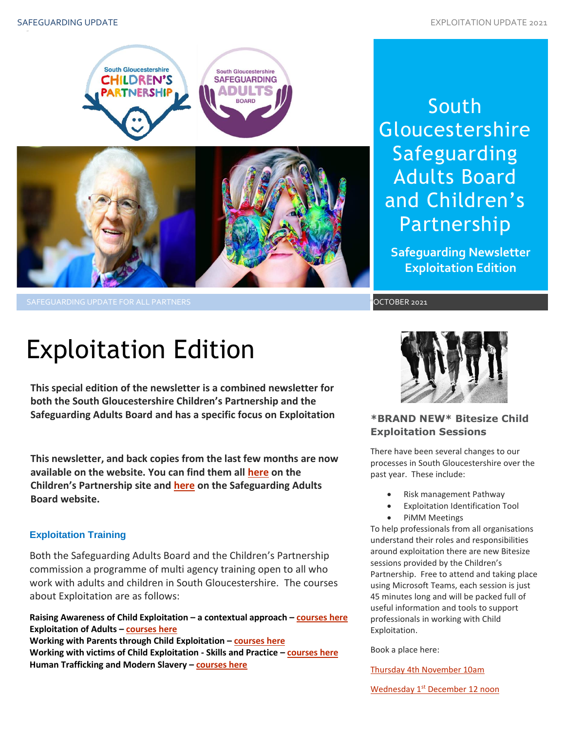

# South **Gloucestershire** Safeguarding Adults Board and Children's Partnership

**Safeguarding Newsletter Exploitation Edition**

OCTOBER 2021

# Exploitation Edition

**This special edition of the newsletter is a combined newsletter for both the South Gloucestershire Children's Partnership and the Safeguarding Adults Board and has a specific focus on Exploitation**

**This newsletter, and back copies from the last few months are now available on the website. You can find them all [here](https://sites.southglos.gov.uk/safeguarding/children/safeguarding-children-board/scb-minutes-of-meetings/) on the Children's Partnership site and [here](https://sites.southglos.gov.uk/safeguarding/adults/safeguarding-adults-board/newsletters-2/) on the Safeguarding Adults Board website.**

# **Exploitation Training**

Both the Safeguarding Adults Board and the Children's Partnership commission a programme of multi agency training open to all who work with adults and children in South Gloucestershire. The courses about Exploitation are as follows:

**Raising Awareness of Child Exploitation – a contextual approach – [courses here](https://learning.southglos.gov.uk/courses/bookings/default.asp?ds=1&keyword=Raising%20awareness%20of%20Child%20Exploitation%20-%20A%20Contextual%20Safeguarding%20Approach) Exploitation of Adults – [courses here](https://learning.southglos.gov.uk/courses/bookings/default.asp?ds=1&keyword=exploitation%20of%20adults) Working with Parents through Child Exploitation – [courses here](https://learning.southglos.gov.uk/courses/bookings/default.asp?ds=1&keyword=Working%20with%20Parents%20through%20Child%20Exploitation) Working with victims of Child Exploitation - Skills and Practice – [courses here](https://learning.southglos.gov.uk/courses/bookings/default.asp?ds=1&keyword=Working%20with%20victims%20of%20Child%20Exploitation%20-%20Skills%20and%20Practice) Human Trafficking and Modern Slavery – [courses here](https://learning.southglos.gov.uk/courses/bookings/default.asp?ds=1&keyword=modern%20slavery)**



# **\*BRAND NEW\* Bitesize Child Exploitation Sessions**

There have been several changes to our processes in South Gloucestershire over the past year. These include:

- Risk management Pathway
- Exploitation Identification Tool
- PiMM Meetings

around exploitation there are new bitt<br>sessions provided by the Children's<br>Partnership - Eree to attend and taking To help professionals from all organisations understand their roles and responsibilities around exploitation there are new Bitesize Partnership. Free to attend and taking place using Microsoft Teams, each session is just 45 minutes long and will be packed full of useful information and tools to support professionals in working with Child Exploitation.

Book a place here:

[Thursday 4th November 10am](https://www.eventbrite.co.uk/e/bitesize-workshop-exploitation-tickets-186029287607)

Wednesday 1<sup>st</sup> [December 12 noon](https://www.eventbrite.co.uk/e/bitesize-workshop-exploitation-tickets-186036418937)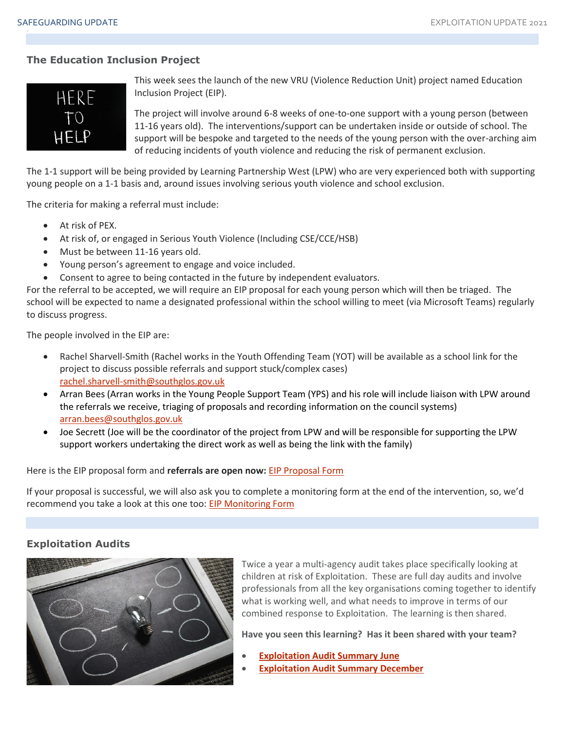# **The Education Inclusion Project**

HERE

This week sees the launch of the new VRU (Violence Reduction Unit) project named Education Inclusion Project (EIP).

The project will involve around 6-8 weeks of one-to-one support with a young person (between 11-16 years old). The interventions/support can be undertaken inside or outside of school. The support will be bespoke and targeted to the needs of the young person with the over-arching aim of reducing incidents of youth violence and reducing the risk of permanent exclusion.

The 1-1 support will be being provided by Learning Partnership West (LPW) who are very experienced both with supporting young people on a 1-1 basis and, around issues involving serious youth violence and school exclusion.

The criteria for making a referral must include:

- At risk of PEX.
- At risk of, or engaged in Serious Youth Violence (Including CSE/CCE/HSB)
- Must be between 11-16 years old.
- Young person's agreement to engage and voice included.
- Consent to agree to being contacted in the future by independent evaluators.

For the referral to be accepted, we will require an EIP proposal for each young person which will then be triaged. The school will be expected to name a designated professional within the school willing to meet (via Microsoft Teams) regularly to discuss progress.

The people involved in the EIP are:

- Rachel Sharvell-Smith (Rachel works in the Youth Offending Team (YOT) will be available as a school link for the project to discuss possible referrals and support stuck/complex cases) [rachel.sharvell-smith@southglos.gov.uk](mailto:rachel.sharvell-smith@southglos.gov.uk)
- Arran Bees (Arran works in the Young People Support Team (YPS) and his role will include liaison with LPW around the referrals we receive, triaging of proposals and recording information on the council systems) [arran.bees@southglos.gov.uk](mailto:arran.bees@southglos.gov.uk)
- Joe Secrett (Joe will be the coordinator of the project from LPW and will be responsible for supporting the LPW support workers undertaking the direct work as well as being the link with the family)

Here is the EIP proposal form and **referrals are open now:** [EIP Proposal Form](https://forms.office.com/Pages/ResponsePage.aspx?id=Up6wZK2HvkaX0tlt0G861OWLi_iaH9dAl6uEPB_8CpVUQ1RNQzkyNjdGUDc0MVZLNkdXMFEyWDM3WC4u)

If your proposal is successful, we will also ask you to complete a monitoring form at the end of the intervention, so, we'd recommend you take a look at this one too: [EIP Monitoring Form](https://forms.office.com/Pages/ResponsePage.aspx?id=Up6wZK2HvkaX0tlt0G861OWLi_iaH9dAl6uEPB_8CpVUMlNEVUdYTFFNVEdFME42NEtBSkI0VVExRi4u)

#### **Exploitation Audits**



Twice a year a multi-agency audit takes place specifically looking at children at risk of Exploitation. These are full day audits and involve professionals from all the key organisations coming together to identify what is working well, and what needs to improve in terms of our combined response to Exploitation. The learning is then shared.

**Have you seen this learning? Has it been shared with your team?**

- **[Exploitation Audit Summary June](http://sites.southglos.gov.uk/safeguarding/wp-content/uploads/sites/221/2016/04/Exploitation-audit-summary-June-2020.pdf)**
- **[Exploitation Audit Summary December](http://sites.southglos.gov.uk/safeguarding/wp-content/uploads/sites/221/2016/04/Exploitation-audit-summary-December-2020.pdf)**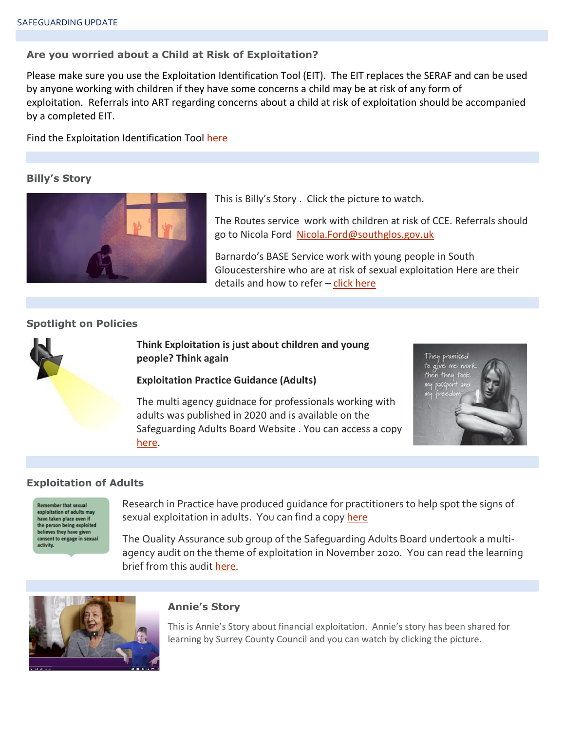#### **Are you worried about a Child at Risk of Exploitation?**

Please make sure you use the Exploitation Identification Tool (EIT). The EIT replaces the SERAF and can be used by anyone working with children if they have some concerns a child may be at risk of any form of exploitation. Referrals into ART regarding concerns about a child at risk of exploitation should be accompanied by a completed EIT.

Find the Exploitation Identification Tool [here](http://sites.southglos.gov.uk/safeguarding/wp-content/uploads/sites/221/2015/05/Exploitation-Identification-Tool-final.pdf)

#### **Billy's Story**



This is Billy's Story . Click the picture to watch.

The Routes service work with children at risk of CCE. Referrals should go to Nicola Ford [Nicola.Ford@southglos.gov.uk](mailto:Nicola.Ford@southglos.gov.uk)

Barnardo's BASE Service work with young people in South Gloucestershire who are at risk of sexual exploitation Here are their details and how to refer – [click here](http://sites.southglos.gov.uk/safeguarding/wp-content/uploads/sites/221/2015/05/THE-FINAL-S.-GLOUS-LEAFLET.pdf)

# **Spotlight on Policies**

**Think Exploitation is just about children and young people? Think again**

#### **Exploitation Practice Guidance (Adults)**

The multi agency guidnace for professionals working with adults was published in 2020 and is available on the Safeguarding Adults Board Website . You can access a copy [here.](http://sites.southglos.gov.uk/safeguarding/wp-content/uploads/sites/221/2015/05/Exploitation-guidance-final-version.pdf)



#### **Exploitation of Adults**

**Remember that sexual** exploitation of adults may have taken place even if<br>the person being exploited believes they have given consent to engage in sexual activity

Research in Practice have produced guidance for practitioners to help spot the signs of sexual exploitation in adults. You can find a copy [here](http://sites.southglos.gov.uk/safeguarding/wp-content/uploads/sites/221/2015/05/ripfa_a_brief_guide_to_sexual_exploitation_web_oct17.pdf)

The Quality Assurance sub group of the Safeguarding Adults Board undertook a multiagency audit on the theme of exploitation in November 2020. You can read the learning brief from this audit [here.](http://sites.southglos.gov.uk/safeguarding/wp-content/uploads/sites/221/2017/05/QA-Audit-Exploitation-Nov-2020.pdf)



#### **Annie's Story**

This is Annie's Story about financial exploitation. Annie's story has been shared for learning by Surrey County Council and you can watch by clicking the picture.